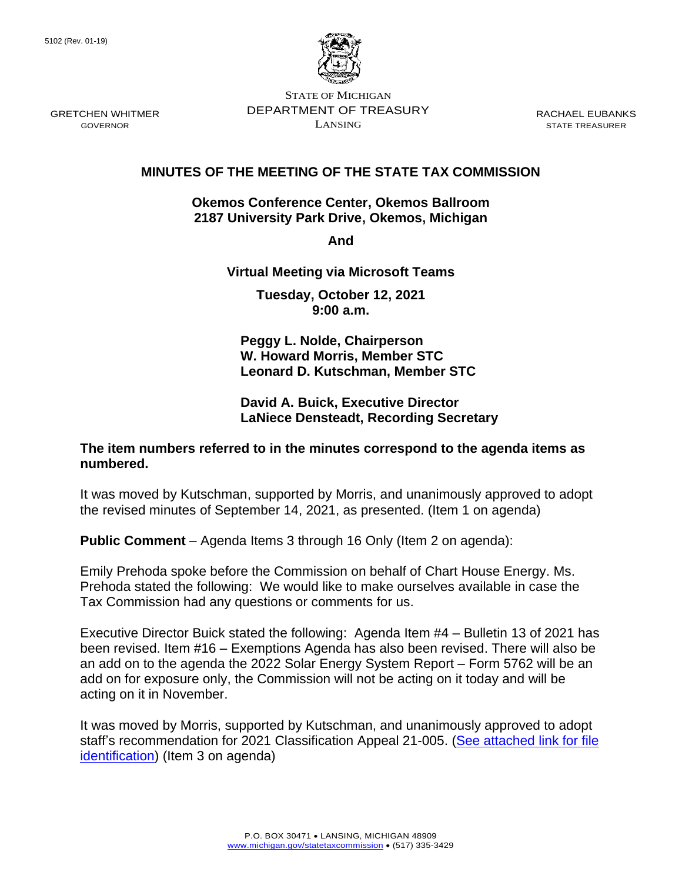

STATE OF MICHIGAN DEPARTMENT OF TREASURY LANSING

RACHAEL EUBANKS STATE TREASURER

# **MINUTES OF THE MEETING OF THE STATE TAX COMMISSION**

## **Okemos Conference Center, Okemos Ballroom 2187 University Park Drive, Okemos, Michigan**

**And** 

# **Virtual Meeting via Microsoft Teams**

**Tuesday, October 12, 2021 9:00 a.m.**

**Peggy L. Nolde, Chairperson W. Howard Morris, Member STC Leonard D. Kutschman, Member STC**

## **David A. Buick, Executive Director LaNiece Densteadt, Recording Secretary**

# **The item numbers referred to in the minutes correspond to the agenda items as numbered.**

It was moved by Kutschman, supported by Morris, and unanimously approved to adopt the revised minutes of September 14, 2021, as presented. (Item 1 on agenda)

**Public Comment** – Agenda Items 3 through 16 Only (Item 2 on agenda):

Emily Prehoda spoke before the Commission on behalf of Chart House Energy. Ms. Prehoda stated the following: We would like to make ourselves available in case the Tax Commission had any questions or comments for us.

Executive Director Buick stated the following: Agenda Item #4 – Bulletin 13 of 2021 has been revised. Item #16 – Exemptions Agenda has also been revised. There will also be an add on to the agenda the 2022 Solar Energy System Report – Form 5762 will be an add on for exposure only, the Commission will not be acting on it today and will be acting on it in November.

It was moved by Morris, supported by Kutschman, and unanimously approved to adopt staff's recommendation for 2021 Classification Appeal 21-005. (See attached link for file [identification\)](https://www.michigan.gov/documents/treasury/2021_Class_Appeal_Determinations_from_October_12_2021_Meeting_738377_7.pdf) (Item 3 on agenda)

GRETCHEN WHITMER GOVERNOR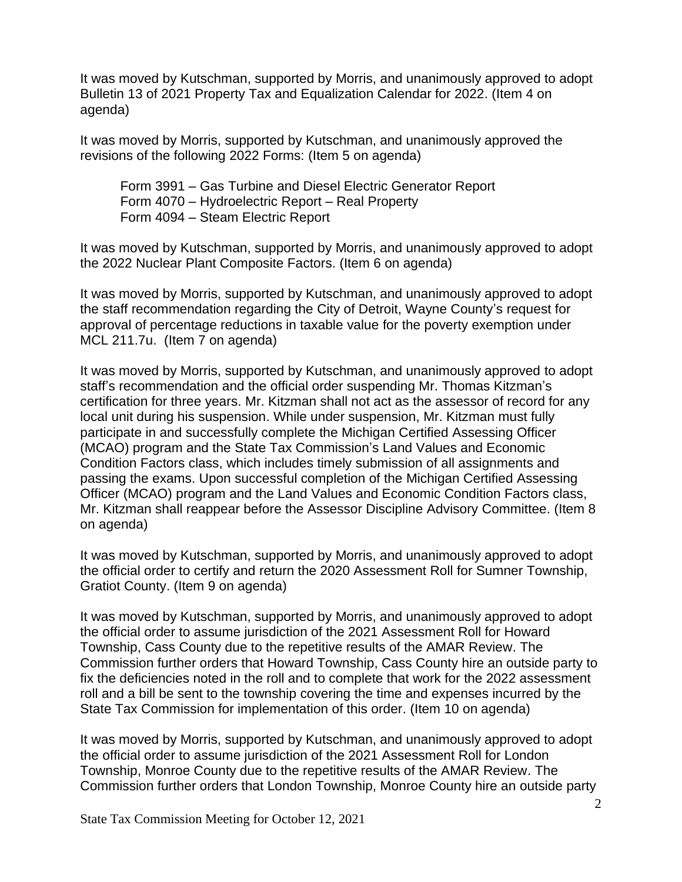It was moved by Kutschman, supported by Morris, and unanimously approved to adopt Bulletin 13 of 2021 Property Tax and Equalization Calendar for 2022. (Item 4 on agenda)

It was moved by Morris, supported by Kutschman, and unanimously approved the revisions of the following 2022 Forms: (Item 5 on agenda)

Form 3991 – Gas Turbine and Diesel Electric Generator Report Form 4070 – Hydroelectric Report – Real Property Form 4094 – Steam Electric Report

It was moved by Kutschman, supported by Morris, and unanimously approved to adopt the 2022 Nuclear Plant Composite Factors. (Item 6 on agenda)

It was moved by Morris, supported by Kutschman, and unanimously approved to adopt the staff recommendation regarding the City of Detroit, Wayne County's request for approval of percentage reductions in taxable value for the poverty exemption under MCL 211.7u. (Item 7 on agenda)

It was moved by Morris, supported by Kutschman, and unanimously approved to adopt staff's recommendation and the official order suspending Mr. Thomas Kitzman's certification for three years. Mr. Kitzman shall not act as the assessor of record for any local unit during his suspension. While under suspension, Mr. Kitzman must fully participate in and successfully complete the Michigan Certified Assessing Officer (MCAO) program and the State Tax Commission's Land Values and Economic Condition Factors class, which includes timely submission of all assignments and passing the exams. Upon successful completion of the Michigan Certified Assessing Officer (MCAO) program and the Land Values and Economic Condition Factors class, Mr. Kitzman shall reappear before the Assessor Discipline Advisory Committee. (Item 8 on agenda)

It was moved by Kutschman, supported by Morris, and unanimously approved to adopt the official order to certify and return the 2020 Assessment Roll for Sumner Township, Gratiot County. (Item 9 on agenda)

It was moved by Kutschman, supported by Morris, and unanimously approved to adopt the official order to assume jurisdiction of the 2021 Assessment Roll for Howard Township, Cass County due to the repetitive results of the AMAR Review. The Commission further orders that Howard Township, Cass County hire an outside party to fix the deficiencies noted in the roll and to complete that work for the 2022 assessment roll and a bill be sent to the township covering the time and expenses incurred by the State Tax Commission for implementation of this order. (Item 10 on agenda)

It was moved by Morris, supported by Kutschman, and unanimously approved to adopt the official order to assume jurisdiction of the 2021 Assessment Roll for London Township, Monroe County due to the repetitive results of the AMAR Review. The Commission further orders that London Township, Monroe County hire an outside party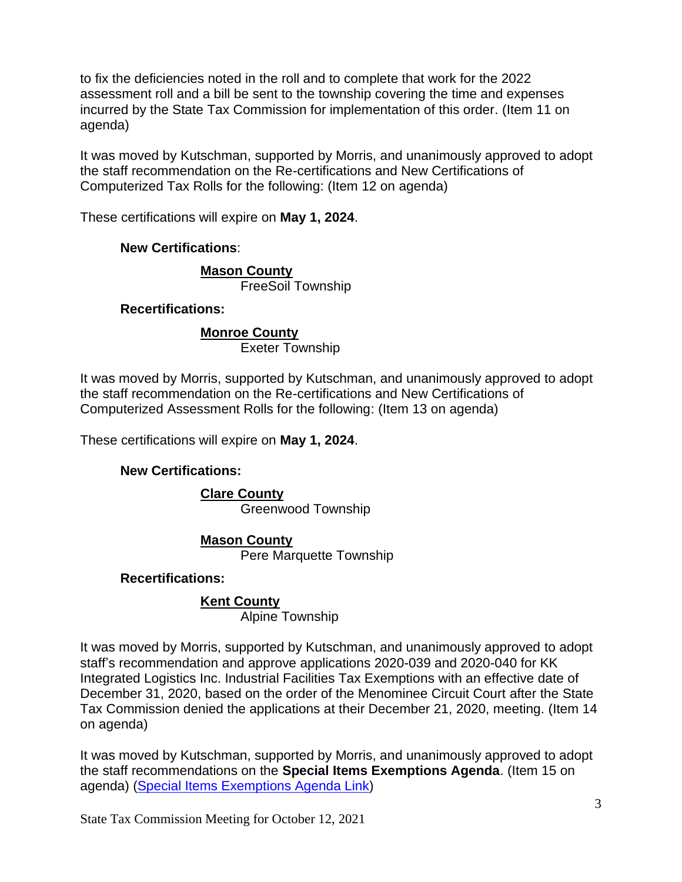to fix the deficiencies noted in the roll and to complete that work for the 2022 assessment roll and a bill be sent to the township covering the time and expenses incurred by the State Tax Commission for implementation of this order. (Item 11 on agenda)

It was moved by Kutschman, supported by Morris, and unanimously approved to adopt the staff recommendation on the Re-certifications and New Certifications of Computerized Tax Rolls for the following: (Item 12 on agenda)

These certifications will expire on **May 1, 2024**.

# **New Certifications**:

#### **Mason County** FreeSoil Township

**Recertifications:**

## **Monroe County**

Exeter Township

It was moved by Morris, supported by Kutschman, and unanimously approved to adopt the staff recommendation on the Re-certifications and New Certifications of Computerized Assessment Rolls for the following: (Item 13 on agenda)

These certifications will expire on **May 1, 2024**.

# **New Certifications:**

#### **Clare County** Greenwood Township

#### **Mason County**

Pere Marquette Township

# **Recertifications:**

# **Kent County**

Alpine Township

It was moved by Morris, supported by Kutschman, and unanimously approved to adopt staff's recommendation and approve applications 2020-039 and 2020-040 for KK Integrated Logistics Inc. Industrial Facilities Tax Exemptions with an effective date of December 31, 2020, based on the order of the Menominee Circuit Court after the State Tax Commission denied the applications at their December 21, 2020, meeting. (Item 14 on agenda)

It was moved by Kutschman, supported by Morris, and unanimously approved to adopt the staff recommendations on the **Special Items Exemptions Agenda**. (Item 15 on agenda) [\(Special Items Exemptions Agenda Link\)](https://www.michigan.gov/documents/treasury/15_Exemptions_Special_Items_Agenda_for_Web_737574_7.pdf)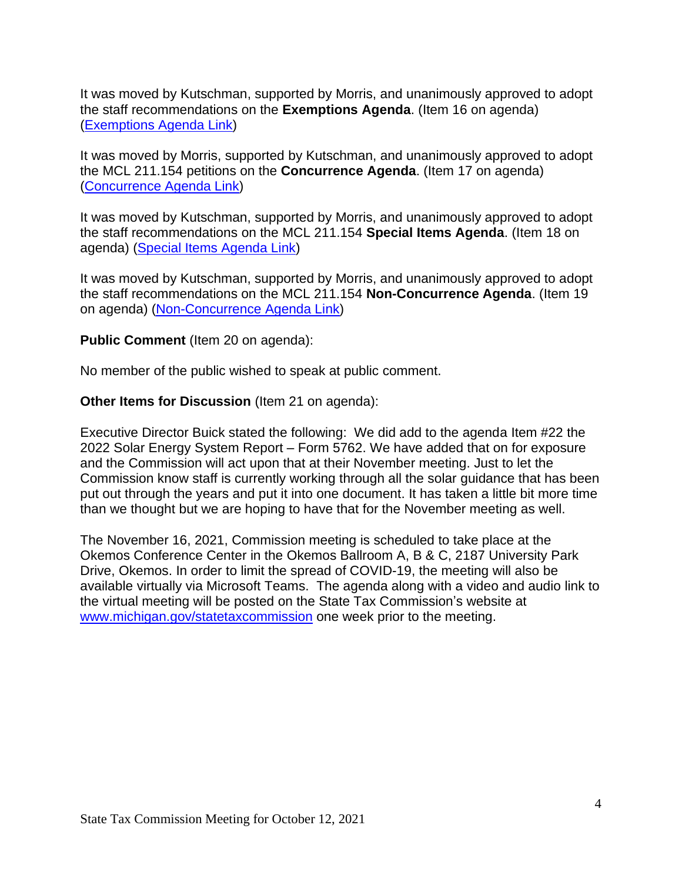It was moved by Kutschman, supported by Morris, and unanimously approved to adopt the staff recommendations on the **Exemptions Agenda**. (Item 16 on agenda) [\(Exemptions Agenda Link\)](https://www.michigan.gov/documents/treasury/16_Exemptions_Agenda_737575_7.pdf)

It was moved by Morris, supported by Kutschman, and unanimously approved to adopt the MCL 211.154 petitions on the **Concurrence Agenda**. (Item 17 on agenda) [\(Concurrence](https://www.michigan.gov/documents/treasury/17_Agenda_-_Concurrence_737576_7.pdf) Agenda Link)

It was moved by Kutschman, supported by Morris, and unanimously approved to adopt the staff recommendations on the MCL 211.154 **Special Items Agenda**. (Item 18 on agenda) [\(Special Items Agenda Link\)](https://www.michigan.gov/documents/treasury/18_154_Special_Items_Agenda_737577_7.pdf)

It was moved by Kutschman, supported by Morris, and unanimously approved to adopt the staff recommendations on the MCL 211.154 **Non-Concurrence Agenda**. (Item 19 on agenda) [\(Non-Concurrence Agenda Link\)](https://www.michigan.gov/documents/treasury/19_Agenda_-_NonConcurrence_737578_7.pdf)

**Public Comment** (Item 20 on agenda):

No member of the public wished to speak at public comment.

**Other Items for Discussion** (Item 21 on agenda):

Executive Director Buick stated the following: We did add to the agenda Item #22 the 2022 Solar Energy System Report – Form 5762. We have added that on for exposure and the Commission will act upon that at their November meeting. Just to let the Commission know staff is currently working through all the solar guidance that has been put out through the years and put it into one document. It has taken a little bit more time than we thought but we are hoping to have that for the November meeting as well.

The November 16, 2021, Commission meeting is scheduled to take place at the Okemos Conference Center in the Okemos Ballroom A, B & C, 2187 University Park Drive, Okemos. In order to limit the spread of COVID-19, the meeting will also be available virtually via Microsoft Teams. The agenda along with a video and audio link to the virtual meeting will be posted on the State Tax Commission's website at [www.michigan.gov/statetaxcommission](http://www.michigan.gov/statetaxcommission) one week prior to the meeting.